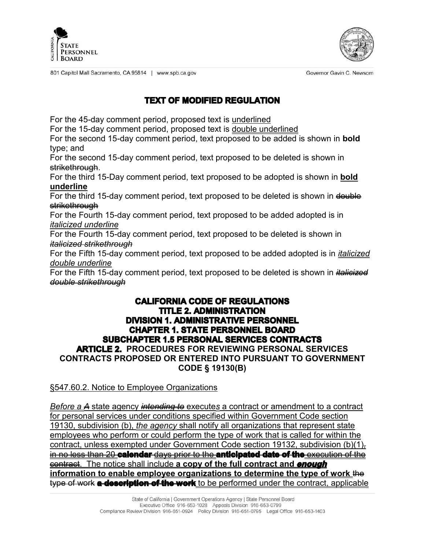



Governor Gavin C. Newsom

801 Capitol Mall Sacramento, CA 95814 | www.spb.ca.gov

## **TEXT OF MODIFIED REGULATION**

For the 45-day comment period, proposed text is underlined

For the 15-day comment period, proposed text is double underlined

For the second 15-day comment period, text proposed to be added is shown in **bold** type; and

For the second 15-day comment period, text proposed to be deleted is shown in strikethrough.

For the third 15-Day comment period, text proposed to be adopted is shown in **bold underline**

For the third 15-day comment period, text proposed to be deleted is shown in double strikethrough

For the Fourth 15-day comment period, text proposed to be added adopted is in *italicized underline*

For the Fourth 15-day comment period, text proposed to be deleted is shown in *italicized strikethrough*

For the Fifth 15-day comment period, text proposed to be added adopted is in *italicized double underline*

For the Fifth 15-day comment period, text proposed to be deleted is shown in *italicized double strikethrough*

## **CALIFORNIA CODE OF REGULATIONS TITLE 2. ADMINISTRATION DIVISION 1. ADMINISTRATIVE PERSONNEL CHAPTER 1. STATE PERSONNEL BOARD SUBCHAPTER 1.5 PERSONAL SERVICES CONTRACTS ARTICLE 2. PROCEDURES FOR REVIEWING PERSONAL SERVICES CONTRACTS PROPOSED OR ENTERED INTO PURSUANT TO GOVERNMENT CODE § 19130(B)**

§547.60.2. Notice to Employee Organizations

*Before a A* state agency *intending to* execute*s* a contract or amendment to a contract for personal services under conditions specified within Government Code section 19130, subdivision (b), *the agency* shall notify all organizations that represent state employees who perform or could perform the type of work that is called for within the contract, unless exempted under Government Code section 19132, subdivision (b)(1)*,* in no less than 20 **calendar** days prior to the **anticipated date of the** execution of the contract. The notice shall include **a copy of the full contract and enough information to enable employee organizations to determine the type of work** the type of work **a description of the work** to be performed under the contract, applicable